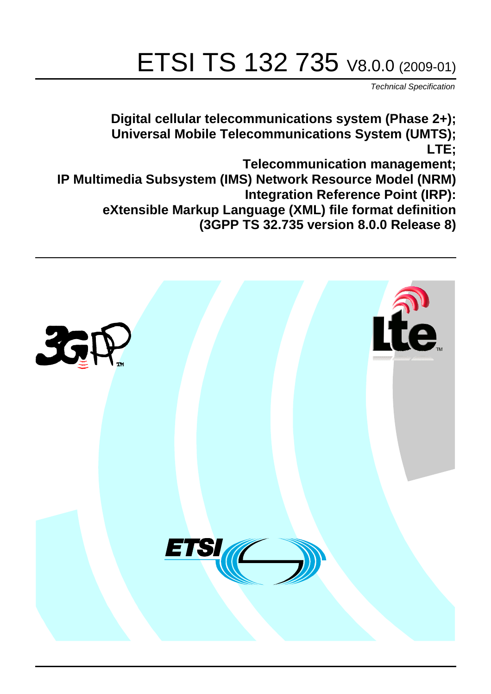# ETSI TS 132 735 V8.0.0 (2009-01)

*Technical Specification*

**Digital cellular telecommunications system (Phase 2+); Universal Mobile Telecommunications System (UMTS); LTE; Telecommunication management; IP Multimedia Subsystem (IMS) Network Resource Model (NRM) Integration Reference Point (IRP): eXtensible Markup Language (XML) file format definition (3GPP TS 32.735 version 8.0.0 Release 8)**

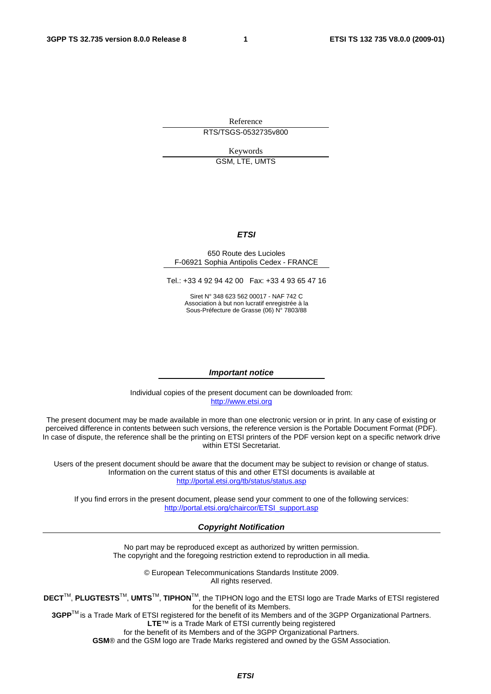Reference RTS/TSGS-0532735v800

Keywords

GSM, LTE, UMTS

#### *ETSI*

#### 650 Route des Lucioles F-06921 Sophia Antipolis Cedex - FRANCE

Tel.: +33 4 92 94 42 00 Fax: +33 4 93 65 47 16

Siret N° 348 623 562 00017 - NAF 742 C Association à but non lucratif enregistrée à la Sous-Préfecture de Grasse (06) N° 7803/88

#### *Important notice*

Individual copies of the present document can be downloaded from: [http://www.etsi.org](http://www.etsi.org/)

The present document may be made available in more than one electronic version or in print. In any case of existing or perceived difference in contents between such versions, the reference version is the Portable Document Format (PDF). In case of dispute, the reference shall be the printing on ETSI printers of the PDF version kept on a specific network drive within ETSI Secretariat.

Users of the present document should be aware that the document may be subject to revision or change of status. Information on the current status of this and other ETSI documents is available at <http://portal.etsi.org/tb/status/status.asp>

If you find errors in the present document, please send your comment to one of the following services: [http://portal.etsi.org/chaircor/ETSI\\_support.asp](http://portal.etsi.org/chaircor/ETSI_support.asp)

#### *Copyright Notification*

No part may be reproduced except as authorized by written permission. The copyright and the foregoing restriction extend to reproduction in all media.

> © European Telecommunications Standards Institute 2009. All rights reserved.

**DECT**TM, **PLUGTESTS**TM, **UMTS**TM, **TIPHON**TM, the TIPHON logo and the ETSI logo are Trade Marks of ETSI registered for the benefit of its Members.

**3GPP**TM is a Trade Mark of ETSI registered for the benefit of its Members and of the 3GPP Organizational Partners. **LTE**™ is a Trade Mark of ETSI currently being registered

for the benefit of its Members and of the 3GPP Organizational Partners.

**GSM**® and the GSM logo are Trade Marks registered and owned by the GSM Association.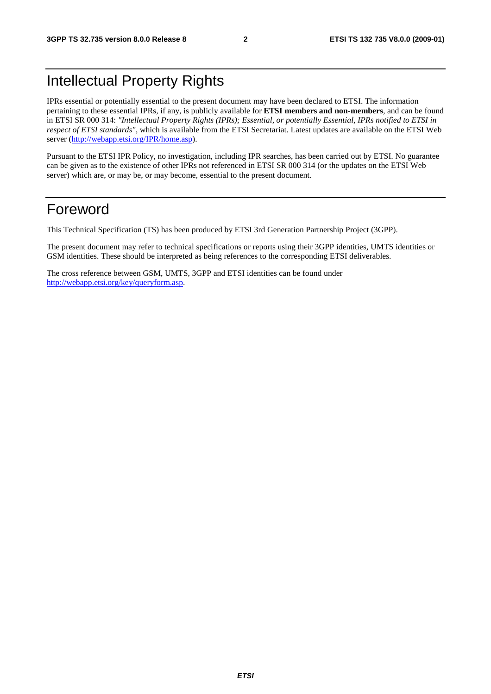# Intellectual Property Rights

IPRs essential or potentially essential to the present document may have been declared to ETSI. The information pertaining to these essential IPRs, if any, is publicly available for **ETSI members and non-members**, and can be found in ETSI SR 000 314: *"Intellectual Property Rights (IPRs); Essential, or potentially Essential, IPRs notified to ETSI in respect of ETSI standards"*, which is available from the ETSI Secretariat. Latest updates are available on the ETSI Web server [\(http://webapp.etsi.org/IPR/home.asp\)](http://webapp.etsi.org/IPR/home.asp).

Pursuant to the ETSI IPR Policy, no investigation, including IPR searches, has been carried out by ETSI. No guarantee can be given as to the existence of other IPRs not referenced in ETSI SR 000 314 (or the updates on the ETSI Web server) which are, or may be, or may become, essential to the present document.

### Foreword

This Technical Specification (TS) has been produced by ETSI 3rd Generation Partnership Project (3GPP).

The present document may refer to technical specifications or reports using their 3GPP identities, UMTS identities or GSM identities. These should be interpreted as being references to the corresponding ETSI deliverables.

The cross reference between GSM, UMTS, 3GPP and ETSI identities can be found under [http://webapp.etsi.org/key/queryform.asp.](http://webapp.etsi.org/key/queryform.asp)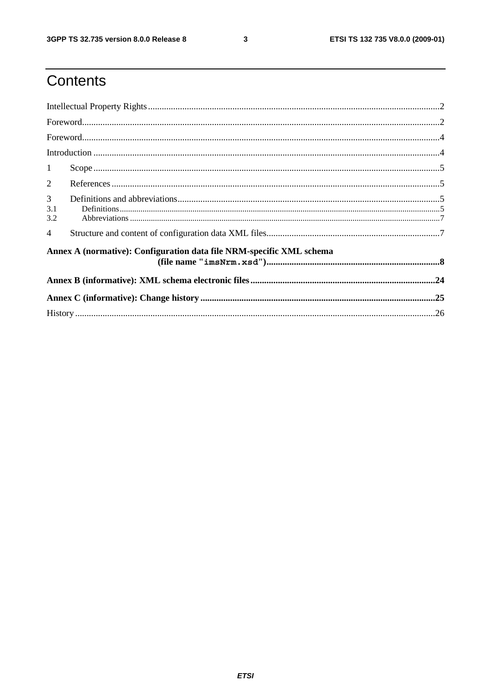$\mathbf{3}$ 

# Contents

| $\mathbf{1}$    |                                                                      |  |  |
|-----------------|----------------------------------------------------------------------|--|--|
| 2               |                                                                      |  |  |
| 3<br>3.1<br>3.2 |                                                                      |  |  |
| $\overline{4}$  |                                                                      |  |  |
|                 | Annex A (normative): Configuration data file NRM-specific XML schema |  |  |
|                 |                                                                      |  |  |
|                 |                                                                      |  |  |
|                 |                                                                      |  |  |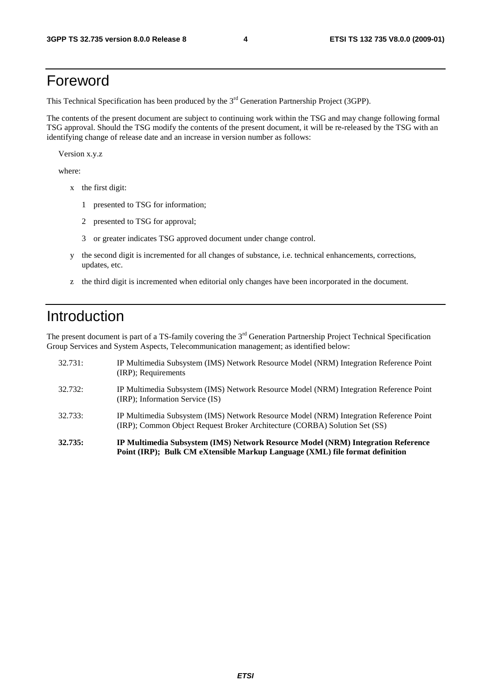## Foreword

This Technical Specification has been produced by the 3<sup>rd</sup> Generation Partnership Project (3GPP).

The contents of the present document are subject to continuing work within the TSG and may change following formal TSG approval. Should the TSG modify the contents of the present document, it will be re-released by the TSG with an identifying change of release date and an increase in version number as follows:

Version x.y.z

where:

- x the first digit:
	- 1 presented to TSG for information;
	- 2 presented to TSG for approval;
	- 3 or greater indicates TSG approved document under change control.
- y the second digit is incremented for all changes of substance, i.e. technical enhancements, corrections, updates, etc.
- z the third digit is incremented when editorial only changes have been incorporated in the document.

### Introduction

The present document is part of a TS-family covering the 3<sup>rd</sup> Generation Partnership Project Technical Specification Group Services and System Aspects, Telecommunication management; as identified below:

| 32.735: | IP Multimedia Subsystem (IMS) Network Resource Model (NRM) Integration Reference<br>Point (IRP); Bulk CM eXtensible Markup Language (XML) file format definition     |
|---------|----------------------------------------------------------------------------------------------------------------------------------------------------------------------|
| 32.733: | IP Multimedia Subsystem (IMS) Network Resource Model (NRM) Integration Reference Point<br>(IRP); Common Object Request Broker Architecture (CORBA) Solution Set (SS) |
| 32.732: | IP Multimedia Subsystem (IMS) Network Resource Model (NRM) Integration Reference Point<br>(IRP); Information Service (IS)                                            |
| 32.731: | IP Multimedia Subsystem (IMS) Network Resource Model (NRM) Integration Reference Point<br>(IRP); Requirements                                                        |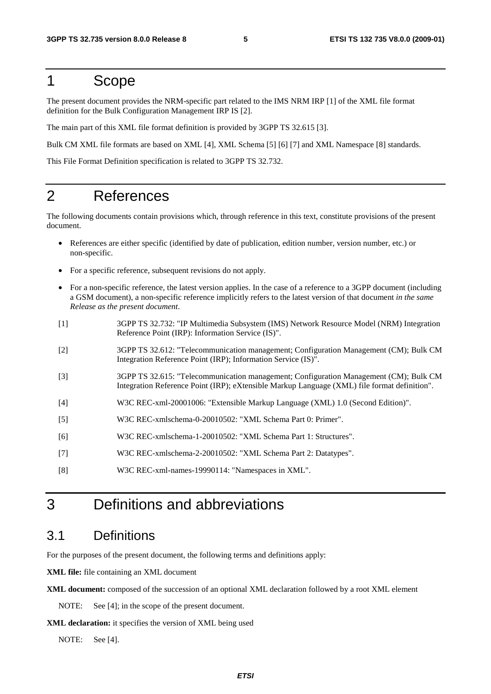#### 1 Scope

The present document provides the NRM-specific part related to the IMS NRM IRP [1] of the XML file format definition for the Bulk Configuration Management IRP IS [2].

The main part of this XML file format definition is provided by 3GPP TS 32.615 [3].

Bulk CM XML file formats are based on XML [4], XML Schema [5] [6] [7] and XML Namespace [8] standards.

This File Format Definition specification is related to 3GPP TS 32.732.

### 2 References

The following documents contain provisions which, through reference in this text, constitute provisions of the present document.

- References are either specific (identified by date of publication, edition number, version number, etc.) or non-specific.
- For a specific reference, subsequent revisions do not apply.
- For a non-specific reference, the latest version applies. In the case of a reference to a 3GPP document (including a GSM document), a non-specific reference implicitly refers to the latest version of that document *in the same Release as the present document*.
- [1] 3GPP TS 32.732: "IP Multimedia Subsystem (IMS) Network Resource Model (NRM) Integration Reference Point (IRP): Information Service (IS)".
- [2] 3GPP TS 32.612: "Telecommunication management; Configuration Management (CM); Bulk CM Integration Reference Point (IRP); Information Service (IS)".
- [3] 3GPP TS 32.615: "Telecommunication management; Configuration Management (CM); Bulk CM Integration Reference Point (IRP); eXtensible Markup Language (XML) file format definition".
- [4] W3C REC-xml-20001006: "Extensible Markup Language (XML) 1.0 (Second Edition)".
- [5] W3C REC-xmlschema-0-20010502: "XML Schema Part 0: Primer".
- [6] W3C REC-xmlschema-1-20010502: "XML Schema Part 1: Structures".
- [7] W3C REC-xmlschema-2-20010502: "XML Schema Part 2: Datatypes".
- [8] W3C REC-xml-names-19990114: "Namespaces in XML".

### 3 Definitions and abbreviations

#### 3.1 Definitions

For the purposes of the present document, the following terms and definitions apply:

**XML file:** file containing an XML document

**XML document:** composed of the succession of an optional XML declaration followed by a root XML element

NOTE: See [4]; in the scope of the present document.

**XML declaration:** it specifies the version of XML being used

NOTE: See [4].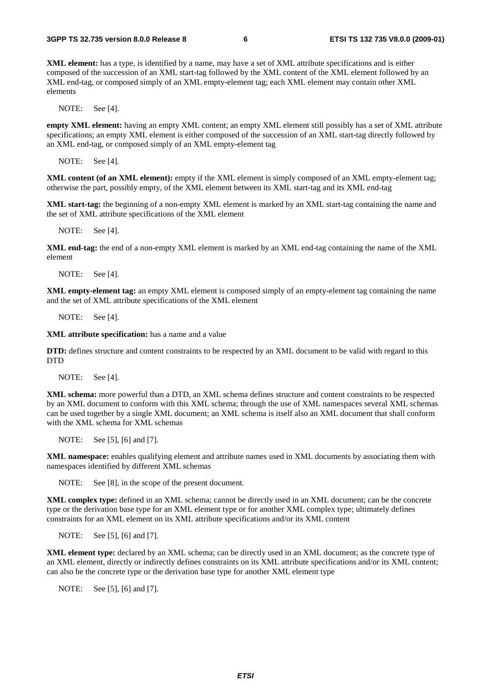**XML element:** has a type, is identified by a name, may have a set of XML attribute specifications and is either composed of the succession of an XML start-tag followed by the XML content of the XML element followed by an XML end-tag, or composed simply of an XML empty-element tag; each XML element may contain other XML elements

NOTE: See [4].

**empty XML element:** having an empty XML content; an empty XML element still possibly has a set of XML attribute specifications; an empty XML element is either composed of the succession of an XML start-tag directly followed by an XML end-tag, or composed simply of an XML empty-element tag

NOTE: See [4].

**XML content (of an XML element):** empty if the XML element is simply composed of an XML empty-element tag; otherwise the part, possibly empty, of the XML element between its XML start-tag and its XML end-tag

**XML start-tag:** the beginning of a non-empty XML element is marked by an XML start-tag containing the name and the set of XML attribute specifications of the XML element

NOTE: See [4].

**XML end-tag:** the end of a non-empty XML element is marked by an XML end-tag containing the name of the XML element

NOTE: See [4].

**XML empty-element tag:** an empty XML element is composed simply of an empty-element tag containing the name and the set of XML attribute specifications of the XML element

NOTE: See [4].

**XML attribute specification:** has a name and a value

**DTD:** defines structure and content constraints to be respected by an XML document to be valid with regard to this DTD

NOTE: See [4].

**XML schema:** more powerful than a DTD, an XML schema defines structure and content constraints to be respected by an XML document to conform with this XML schema; through the use of XML namespaces several XML schemas can be used together by a single XML document; an XML schema is itself also an XML document that shall conform with the XML schema for XML schemas

NOTE: See [5], [6] and [7].

**XML namespace:** enables qualifying element and attribute names used in XML documents by associating them with namespaces identified by different XML schemas

NOTE: See [8], in the scope of the present document.

**XML complex type:** defined in an XML schema; cannot be directly used in an XML document; can be the concrete type or the derivation base type for an XML element type or for another XML complex type; ultimately defines constraints for an XML element on its XML attribute specifications and/or its XML content

NOTE: See [5], [6] and [7].

**XML element type:** declared by an XML schema; can be directly used in an XML document; as the concrete type of an XML element, directly or indirectly defines constraints on its XML attribute specifications and/or its XML content; can also be the concrete type or the derivation base type for another XML element type

NOTE: See [5], [6] and [7].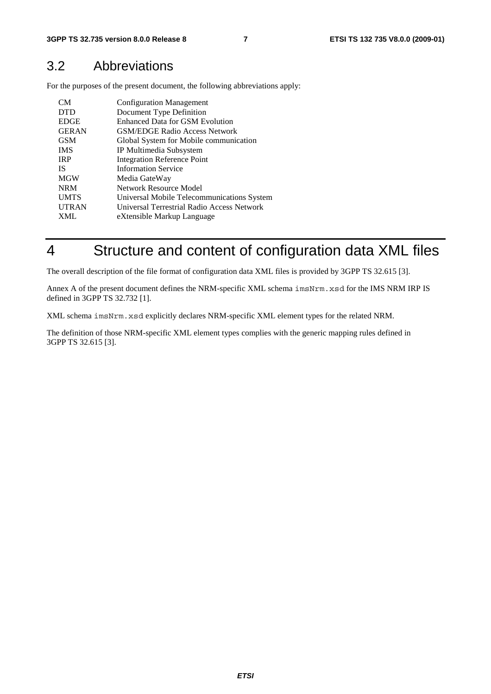#### 3.2 Abbreviations

For the purposes of the present document, the following abbreviations apply:

| CM <sub></sub> | <b>Configuration Management</b>            |
|----------------|--------------------------------------------|
| <b>DTD</b>     | Document Type Definition                   |
| <b>EDGE</b>    | <b>Enhanced Data for GSM Evolution</b>     |
| <b>GERAN</b>   | <b>GSM/EDGE Radio Access Network</b>       |
| <b>GSM</b>     | Global System for Mobile communication     |
| <b>IMS</b>     | IP Multimedia Subsystem                    |
| <b>IRP</b>     | <b>Integration Reference Point</b>         |
| <b>IS</b>      | <b>Information Service</b>                 |
| <b>MGW</b>     | Media GateWay                              |
| <b>NRM</b>     | Network Resource Model                     |
| <b>UMTS</b>    | Universal Mobile Telecommunications System |
| <b>UTRAN</b>   | Universal Terrestrial Radio Access Network |
| <b>XML</b>     | eXtensible Markup Language                 |

# 4 Structure and content of configuration data XML files

The overall description of the file format of configuration data XML files is provided by 3GPP TS 32.615 [3].

Annex A of the present document defines the NRM-specific XML schema imsNrm.xsd for the IMS NRM IRP IS defined in 3GPP TS 32.732 [1].

XML schema imsNrm.xsd explicitly declares NRM-specific XML element types for the related NRM.

The definition of those NRM-specific XML element types complies with the generic mapping rules defined in 3GPP TS 32.615 [3].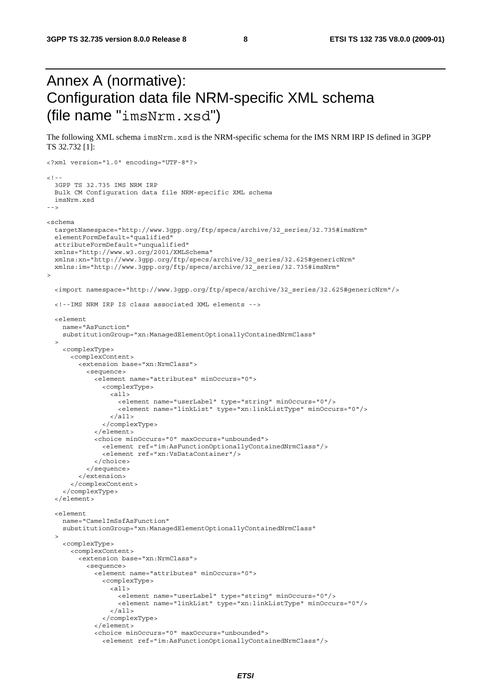# Annex A (normative): Configuration data file NRM-specific XML schema (file name "imsNrm.xsd")

The following XML schema imsNrm.xsd is the NRM-specific schema for the IMS NRM IRP IS defined in 3GPP TS 32.732 [1]:

```
<?xml version="1.0" encoding="UTF-8"?> 
<! - -
   3GPP TS 32.735 IMS NRM IRP 
   Bulk CM Configuration data file NRM-specific XML schema 
   imsNrm.xsd 
--> 
<schema 
   targetNamespace="http://www.3gpp.org/ftp/specs/archive/32_series/32.735#imsNrm" 
   elementFormDefault="qualified" 
   attributeFormDefault="unqualified" 
   xmlns="http://www.w3.org/2001/XMLSchema" 
   xmlns:xn="http://www.3gpp.org/ftp/specs/archive/32_series/32.625#genericNrm" 
   xmlns:im="http://www.3gpp.org/ftp/specs/archive/32_series/32.735#imsNrm" 
> 
   <import namespace="http://www.3gpp.org/ftp/specs/archive/32_series/32.625#genericNrm"/> 
   <!--IMS NRM IRP IS class associated XML elements --> 
   <element 
     name="AsFunction" 
     substitutionGroup="xn:ManagedElementOptionallyContainedNrmClass" 
\rightarrow <complexType> 
       <complexContent> 
         <extension base="xn:NrmClass"> 
            <sequence> 
              <element name="attributes" minOccurs="0"> 
                <complexType> 
                  <all> 
                    <element name="userLabel" type="string" minOccurs="0"/> 
                    <element name="linkList" type="xn:linkListType" minOccurs="0"/> 
                 \epsilon/all\epsilon </complexType> 
              </element> 
              <choice minOccurs="0" maxOccurs="unbounded"> 
                <element ref="im:AsFunctionOptionallyContainedNrmClass"/> 
                <element ref="xn:VsDataContainer"/> 
              </choice> 
            </sequence> 
          </extension> 
       </complexContent> 
     </complexType> 
   </element> 
   <element 
    name="CamelImSsfAsFunction" 
     substitutionGroup="xn:ManagedElementOptionallyContainedNrmClass" 
\rightarrow <complexType> 
       <complexContent> 
         <extension base="xn:NrmClass"> 
            <sequence> 
              <element name="attributes" minOccurs="0"> 
                <complexType> 
                  <all> 
                    <element name="userLabel" type="string" minOccurs="0"/> 
                    <element name="linkList" type="xn:linkListType" minOccurs="0"/> 
                 \langleall> </complexType> 
              </element> 
              <choice minOccurs="0" maxOccurs="unbounded"> 
                <element ref="im:AsFunctionOptionallyContainedNrmClass"/>
```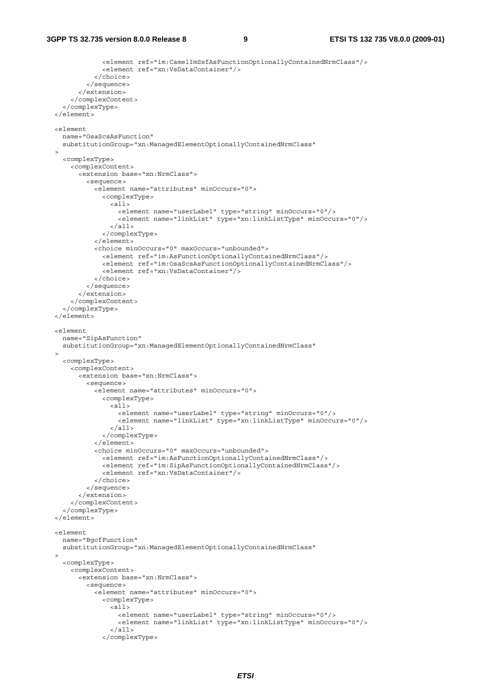```
 <element ref="im:CamelImSsfAsFunctionOptionallyContainedNrmClass"/> 
                <element ref="xn:VsDataContainer"/> 
              </choice> 
           </sequence> 
         </extension> 
       </complexContent> 
     </complexType> 
  </element> 
   <element 
    name="OsaScsAsFunction" 
     substitutionGroup="xn:ManagedElementOptionallyContainedNrmClass" 
\rightarrow <complexType> 
       <complexContent> 
         <extension base="xn:NrmClass"> 
           <sequence> 
              <element name="attributes" minOccurs="0"> 
                <complexType> 
                 \overline{all} <element name="userLabel" type="string" minOccurs="0"/> 
                    <element name="linkList" type="xn:linkListType" minOccurs="0"/> 
                 \langleall> </complexType> 
             \epsilon/element>
              <choice minOccurs="0" maxOccurs="unbounded"> 
                <element ref="im:AsFunctionOptionallyContainedNrmClass"/> 
                <element ref="im:OsaScsAsFunctionOptionallyContainedNrmClass"/> 
                <element ref="xn:VsDataContainer"/> 
             z/choice>
           </sequence> 
         </extension> 
       </complexContent> 
     </complexType> 
   </element> 
   <element 
    name="SipAsFunction" 
     substitutionGroup="xn:ManagedElementOptionallyContainedNrmClass" 
\rightarrow <complexType> 
       <complexContent> 
         <extension base="xn:NrmClass"> 
           <sequence> 
              <element name="attributes" minOccurs="0"> 
                <complexType> 
                  <all> 
                    <element name="userLabel" type="string" minOccurs="0"/> 
                    <element name="linkList" type="xn:linkListType" minOccurs="0"/> 
                 \langleall> </complexType> 
             \epsilon/element>
              <choice minOccurs="0" maxOccurs="unbounded"> 
                <element ref="im:AsFunctionOptionallyContainedNrmClass"/> 
                <element ref="im:SipAsFunctionOptionallyContainedNrmClass"/> 
                <element ref="xn:VsDataContainer"/> 
              </choice> 
           </sequence> 
         </extension> 
       </complexContent> 
     </complexType> 
   </element> 
   <element 
    name="BgcfFunction" 
     substitutionGroup="xn:ManagedElementOptionallyContainedNrmClass" 
\rightarrow <complexType> 
       <complexContent> 
         <extension base="xn:NrmClass"> 
           <sequence> 
              <element name="attributes" minOccurs="0"> 
                <complexType> 
                  <all> 
                    <element name="userLabel" type="string" minOccurs="0"/> 
                    <element name="linkList" type="xn:linkListType" minOccurs="0"/> 
                  </all> 
                </complexType>
```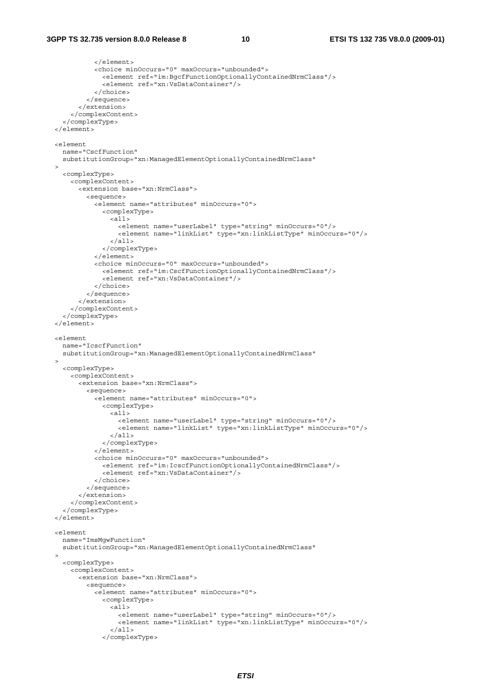```
 </element> 
              <choice minOccurs="0" maxOccurs="unbounded"> 
                <element ref="im:BgcfFunctionOptionallyContainedNrmClass"/> 
                <element ref="xn:VsDataContainer"/> 
              </choice> 
           </sequence> 
         </extension> 
       </complexContent> 
     </complexType> 
   </element> 
  <element 
    name="CscfFunction" 
     substitutionGroup="xn:ManagedElementOptionallyContainedNrmClass" 
  > 
     <complexType> 
       <complexContent> 
         <extension base="xn:NrmClass"> 
           <sequence> 
              <element name="attributes" minOccurs="0"> 
                <complexType> 
                 \leq all\geq <element name="userLabel" type="string" minOccurs="0"/> 
                    <element name="linkList" type="xn:linkListType" minOccurs="0"/> 
                 \epsilon/all\sim </complexType> 
              </element> 
              <choice minOccurs="0" maxOccurs="unbounded"> 
                <element ref="im:CscfFunctionOptionallyContainedNrmClass"/> 
                <element ref="xn:VsDataContainer"/> 
              </choice> 
           </sequence> 
         </extension> 
       </complexContent> 
     </complexType> 
   </element> 
   <element 
    name="IcscfFunction" 
     substitutionGroup="xn:ManagedElementOptionallyContainedNrmClass" 
   > 
     <complexType> 
       <complexContent> 
         <extension base="xn:NrmClass"> 
           <sequence> 
              <element name="attributes" minOccurs="0"> 
                <complexType> 
                  <all> 
                    <element name="userLabel" type="string" minOccurs="0"/> 
                    <element name="linkList" type="xn:linkListType" minOccurs="0"/> 
                 \langleall\rangle </complexType> 
              </element> 
              <choice minOccurs="0" maxOccurs="unbounded"> 
                <element ref="im:IcscfFunctionOptionallyContainedNrmClass"/> 
                <element ref="xn:VsDataContainer"/> 
              </choice> 
           </sequence> 
         </extension> 
       </complexContent> 
     </complexType> 
   </element> 
   <element 
    name="ImsMgwFunction" 
     substitutionGroup="xn:ManagedElementOptionallyContainedNrmClass" 
\rightarrow <complexType> 
       <complexContent> 
         <extension base="xn:NrmClass"> 
           <sequence> 
              <element name="attributes" minOccurs="0"> 
                <complexType> 
                  <all> 
                    <element name="userLabel" type="string" minOccurs="0"/> 
                    <element name="linkList" type="xn:linkListType" minOccurs="0"/> 
                  </all> 
                </complexType>
```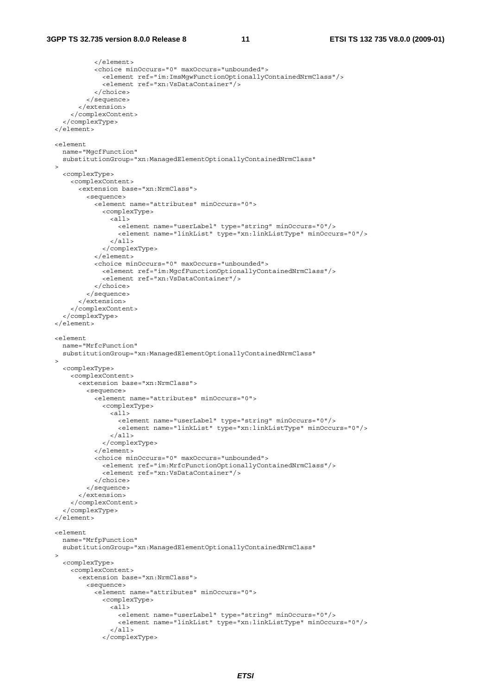```
 </element> 
             <choice minOccurs="0" maxOccurs="unbounded"> 
                <element ref="im:ImsMgwFunctionOptionallyContainedNrmClass"/> 
                <element ref="xn:VsDataContainer"/> 
              </choice> 
           </sequence> 
         </extension> 
       </complexContent> 
     </complexType> 
   </element> 
  <element 
    name="MgcfFunction" 
     substitutionGroup="xn:ManagedElementOptionallyContainedNrmClass" 
  > 
     <complexType> 
       <complexContent> 
         <extension base="xn:NrmClass"> 
           <sequence> 
             <element name="attributes" minOccurs="0"> 
               <complexType> 
                 \leq all\geq <element name="userLabel" type="string" minOccurs="0"/> 
 <element name="linkList" type="xn:linkListType" minOccurs="0"/> 
                 \epsilon/all\sim </complexType> 
              </element> 
             <choice minOccurs="0" maxOccurs="unbounded"> 
                <element ref="im:MgcfFunctionOptionallyContainedNrmClass"/> 
                <element ref="xn:VsDataContainer"/> 
             </choice> 
           </sequence> 
         </extension> 
       </complexContent> 
     </complexType> 
  </element> 
  <element 
    name="MrfcFunction" 
     substitutionGroup="xn:ManagedElementOptionallyContainedNrmClass" 
  > 
     <complexType> 
       <complexContent> 
         <extension base="xn:NrmClass"> 
           <sequence> 
             <element name="attributes" minOccurs="0"> 
                <complexType> 
                  <all> 
                    <element name="userLabel" type="string" minOccurs="0"/> 
                    <element name="linkList" type="xn:linkListType" minOccurs="0"/> 
                 \langleall\rangle </complexType> 
             </element> 
             <choice minOccurs="0" maxOccurs="unbounded"> 
                <element ref="im:MrfcFunctionOptionallyContainedNrmClass"/> 
                <element ref="xn:VsDataContainer"/> 
             </choice> 
           </sequence> 
         </extension> 
       </complexContent> 
     </complexType> 
  </element> 
  <element 
    name="MrfpFunction" 
     substitutionGroup="xn:ManagedElementOptionallyContainedNrmClass" 
\rightarrow <complexType> 
       <complexContent> 
         <extension base="xn:NrmClass"> 
           <sequence> 
             <element name="attributes" minOccurs="0"> 
                <complexType> 
                  <all> 
                    <element name="userLabel" type="string" minOccurs="0"/> 
                    <element name="linkList" type="xn:linkListType" minOccurs="0"/> 
                  </all> 
                </complexType>
```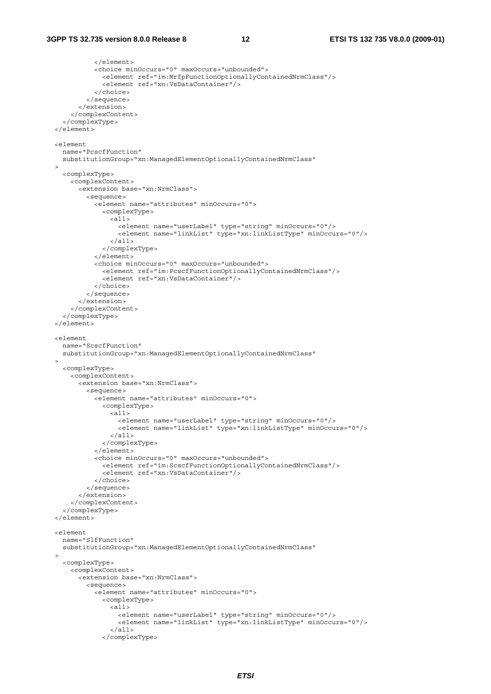```
 </element> 
              <choice minOccurs="0" maxOccurs="unbounded"> 
                <element ref="im:MrfpFunctionOptionallyContainedNrmClass"/> 
                <element ref="xn:VsDataContainer"/> 
              </choice> 
           </sequence> 
         </extension> 
       </complexContent> 
     </complexType> 
   </element> 
  <element 
    name="PcscfFunction" 
     substitutionGroup="xn:ManagedElementOptionallyContainedNrmClass" 
  > 
     <complexType> 
       <complexContent> 
         <extension base="xn:NrmClass"> 
           <sequence> 
              <element name="attributes" minOccurs="0"> 
                <complexType> 
                 \leq all\geq <element name="userLabel" type="string" minOccurs="0"/> 
                    <element name="linkList" type="xn:linkListType" minOccurs="0"/> 
                 \epsilon/all\sim </complexType> 
              </element> 
              <choice minOccurs="0" maxOccurs="unbounded"> 
                <element ref="im:PcscfFunctionOptionallyContainedNrmClass"/> 
                <element ref="xn:VsDataContainer"/> 
              </choice> 
           </sequence> 
         </extension> 
       </complexContent> 
     </complexType> 
   </element> 
   <element 
    name="ScscfFunction" 
     substitutionGroup="xn:ManagedElementOptionallyContainedNrmClass" 
   > 
     <complexType> 
       <complexContent> 
         <extension base="xn:NrmClass"> 
           <sequence> 
              <element name="attributes" minOccurs="0"> 
                <complexType> 
                  <all> 
                    <element name="userLabel" type="string" minOccurs="0"/> 
                    <element name="linkList" type="xn:linkListType" minOccurs="0"/> 
                 \langleall\rangle </complexType> 
              </element> 
              <choice minOccurs="0" maxOccurs="unbounded"> 
                <element ref="im:ScscfFunctionOptionallyContainedNrmClass"/> 
                <element ref="xn:VsDataContainer"/> 
              </choice> 
           </sequence> 
         </extension> 
       </complexContent> 
     </complexType> 
   </element> 
   <element 
    name="SlfFunction" 
     substitutionGroup="xn:ManagedElementOptionallyContainedNrmClass" 
\rightarrow <complexType> 
       <complexContent> 
         <extension base="xn:NrmClass"> 
           <sequence> 
              <element name="attributes" minOccurs="0"> 
                <complexType> 
                  <all> 
                    <element name="userLabel" type="string" minOccurs="0"/> 
                    <element name="linkList" type="xn:linkListType" minOccurs="0"/> 
                  </all> 
                </complexType>
```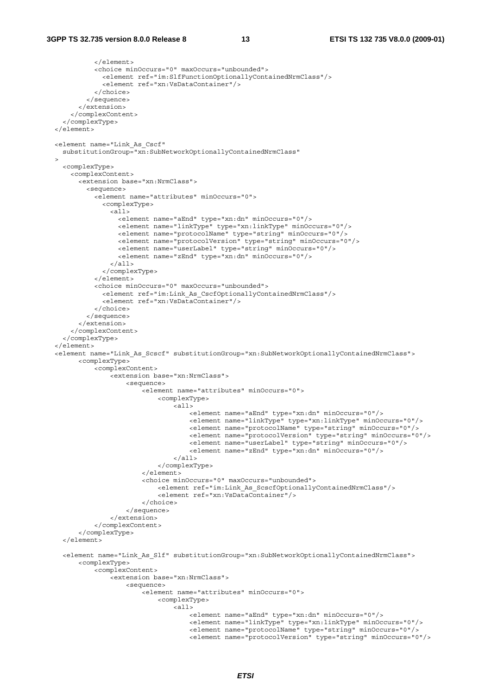```
 </element> 
             <choice minOccurs="0" maxOccurs="unbounded"> 
               <element ref="im:SlfFunctionOptionallyContainedNrmClass"/> 
               <element ref="xn:VsDataContainer"/> 
             </choice> 
           </sequence> 
         </extension> 
      </complexContent> 
    </complexType> 
   </element> 
  <element name="Link_As_Cscf" 
    substitutionGroup="xn:SubNetworkOptionallyContainedNrmClass" 
\rightarrow <complexType> 
      <complexContent> 
         <extension base="xn:NrmClass"> 
           <sequence> 
             <element name="attributes" minOccurs="0"> 
               <complexType> 
                \overline{c}all\overline{c} <element name="aEnd" type="xn:dn" minOccurs="0"/> 
                   <element name="linkType" type="xn:linkType" minOccurs="0"/> 
                   <element name="protocolName" type="string" minOccurs="0"/> 
 <element name="protocolVersion" type="string" minOccurs="0"/> 
 <element name="userLabel" type="string" minOccurs="0"/> 
                   <element name="zEnd" type="xn:dn" minOccurs="0"/> 
                 </all> 
               </complexType> 
            \ge/element\sim <choice minOccurs="0" maxOccurs="unbounded"> 
               <element ref="im:Link_As_CscfOptionallyContainedNrmClass"/> 
               <element ref="xn:VsDataContainer"/> 
             </choice> 
           </sequence> 
         </extension> 
      </complexContent> 
    </complexType> 
  </element> 
  <element name="Link_As_Scscf" substitutionGroup="xn:SubNetworkOptionallyContainedNrmClass"> 
         <complexType> 
             <complexContent> 
                -<br><extension base="xn:NrmClass">
                     <sequence> 
                         <element name="attributes" minOccurs="0"> 
                             <complexType> 
\langleall> <element name="aEnd" type="xn:dn" minOccurs="0"/> 
                                      <element name="linkType" type="xn:linkType" minOccurs="0"/> 
                                     <element name="protocolName" type="string" minOccurs="0"/> 
 <element name="protocolVersion" type="string" minOccurs="0"/> 
 <element name="userLabel" type="string" minOccurs="0"/> 
                                     <element name="zEnd" type="xn:dn" minOccurs="0"/> 
                                 </all> 
                             </complexType> 
                         </element> 
                         <choice minOccurs="0" maxOccurs="unbounded"> 
                             <element ref="im:Link_As_ScscfOptionallyContainedNrmClass"/> 
                             <element ref="xn:VsDataContainer"/> 
                         </choice> 
                     </sequence> 
                 </extension> 
             </complexContent> 
         </complexType> 
    </element> 
    <element name="Link_As_Slf" substitutionGroup="xn:SubNetworkOptionallyContainedNrmClass"> 
         <complexType> 
             <complexContent> 
                 <extension base="xn:NrmClass"> 
                     <sequence> 
                         <element name="attributes" minOccurs="0"> 
                             <complexType> 
                                 <all> 
                                      <element name="aEnd" type="xn:dn" minOccurs="0"/> 
                                     <element name="linkType" type="xn:linkType" minOccurs="0"/> 
                                     <element name="protocolName" type="string" minOccurs="0"/> 
                                     <element name="protocolVersion" type="string" minOccurs="0"/>
```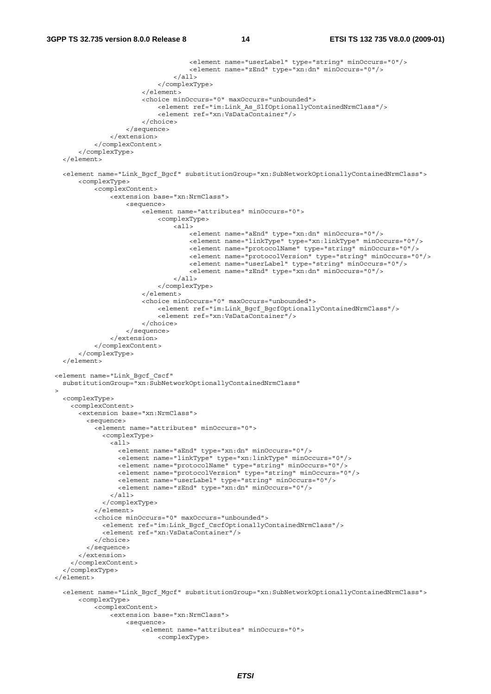```
 <element name="userLabel" type="string" minOccurs="0"/> 
                                       <element name="zEnd" type="xn:dn" minOccurs="0"/> 
                                  \langleall\rangle </complexType> 
                          </element> 
                          <choice minOccurs="0" maxOccurs="unbounded"> 
                              <element ref="im:Link_As_SlfOptionallyContainedNrmClass"/> 
                              <element ref="xn:VsDataContainer"/> 
                          </choice> 
                      </sequence> 
                 </extension> 
             </complexContent> 
         </complexType> 
    </element> 
    <element name="Link_Bgcf_Bgcf" substitutionGroup="xn:SubNetworkOptionallyContainedNrmClass"> 
         <complexType> 
             <complexContent> 
                 <extension base="xn:NrmClass"> 
                      <sequence> 
                          <element name="attributes" minOccurs="0"> 
                              <complexType> 
                                   <all> 
                                       <element name="aEnd" type="xn:dn" minOccurs="0"/> 
                                       <element name="linkType" type="xn:linkType" minOccurs="0"/> 
                                       <element name="protocolName" type="string" minOccurs="0"/> 
                                       <element name="protocolVersion" type="string" minOccurs="0"/> 
                                       <element name="userLabel" type="string" minOccurs="0"/> 
                                       <element name="zEnd" type="xn:dn" minOccurs="0"/> 
                                  2/211 </complexType> 
                          </element> 
                          <choice minOccurs="0" maxOccurs="unbounded"> 
                              <element ref="im:Link_Bgcf_BgcfOptionallyContainedNrmClass"/> 
                              <element ref="xn:VsDataContainer"/> 
                          </choice> 
                      </sequence> 
                 </extension> 
             </complexContent> 
         </complexType> 
    </element> 
  <element name="Link_Bgcf_Cscf" 
    substitutionGroup="xn:SubNetworkOptionallyContainedNrmClass" 
\rightarrow <complexType> 
       <complexContent> 
         <extension base="xn:NrmClass"> 
           <sequence> 
             <element name="attributes" minOccurs="0"> 
               <complexType> 
                 <all> 
                    <element name="aEnd" type="xn:dn" minOccurs="0"/> 
                    <element name="linkType" type="xn:linkType" minOccurs="0"/> 
                    <element name="protocolName" type="string" minOccurs="0"/> 
 <element name="protocolVersion" type="string" minOccurs="0"/> 
 <element name="userLabel" type="string" minOccurs="0"/> 
                    <element name="zEnd" type="xn:dn" minOccurs="0"/> 
                \langleall\rangle </complexType> 
             </element> 
             <choice minOccurs="0" maxOccurs="unbounded"> 
               <element ref="im:Link_Bgcf_CscfOptionallyContainedNrmClass"/> 
               <element ref="xn:VsDataContainer"/> 
             </choice> 
           </sequence> 
         </extension> 
       </complexContent> 
     </complexType> 
  </element> 
    <element name="Link_Bgcf_Mgcf" substitutionGroup="xn:SubNetworkOptionallyContainedNrmClass"> 
         <complexType> 
             <complexContent> 
                  <extension base="xn:NrmClass"> 
                      <sequence> 
                         -<br><element name="attributes" minOccurs="0">
```
<complexType>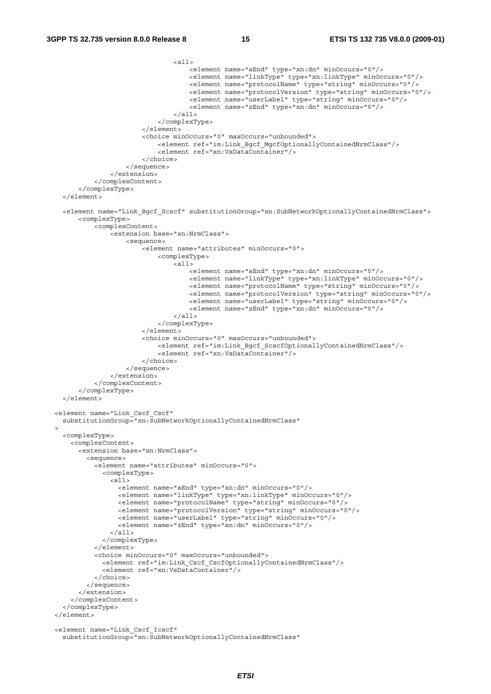```
 <all> 
                                        <element name="aEnd" type="xn:dn" minOccurs="0"/> 
                                        <element name="linkType" type="xn:linkType" minOccurs="0"/> 
                                        <element name="protocolName" type="string" minOccurs="0"/> 
                                        <element name="protocolVersion" type="string" minOccurs="0"/> 
                                        <element name="userLabel" type="string" minOccurs="0"/> 
                                        <element name="zEnd" type="xn:dn" minOccurs="0"/> 
                                   \epsilon/all\epsilon </complexType> 
                           </element> 
                           <choice minOccurs="0" maxOccurs="unbounded"> 
                               <element ref="im:Link_Bgcf_MgcfOptionallyContainedNrmClass"/> 
                               <element ref="xn:VsDataContainer"/> 
                           </choice> 
                      </sequence> 
                  </extension> 
             </complexContent> 
         </complexType> 
     </element> 
     <element name="Link_Bgcf_Scscf" substitutionGroup="xn:SubNetworkOptionallyContainedNrmClass"> 
         <complexType> 
             <complexContent> 
                  <extension base="xn:NrmClass"> 
                      <sequence> 
                           <element name="attributes" minOccurs="0"> 
                               <complexType> 
                                    <all> 
                                        <element name="aEnd" type="xn:dn" minOccurs="0"/> 
                                        <element name="linkType" type="xn:linkType" minOccurs="0"/> 
                                        <element name="protocolName" type="string" minOccurs="0"/> 
                                        <element name="protocolVersion" type="string" minOccurs="0"/> 
                                        <element name="userLabel" type="string" minOccurs="0"/> 
                                        <element name="zEnd" type="xn:dn" minOccurs="0"/> 
                                  \langleall> </complexType> 
                           </element> 
                           <choice minOccurs="0" maxOccurs="unbounded"> 
                               <element ref="im:Link_Bgcf_ScscfOptionallyContainedNrmClass"/> 
                               <element ref="xn:VsDataContainer"/> 
                           </choice> 
                      </sequence> 
                  </extension> 
             </complexContent> 
         </complexType> 
     </element> 
  <element name="Link_Cscf_Cscf" 
     substitutionGroup="xn:SubNetworkOptionallyContainedNrmClass" 
\rightarrow <complexType> 
       <complexContent> 
         <extension base="xn:NrmClass"> 
           <sequence> 
             <element name="attributes" minOccurs="0"> 
                <complexType> 
                 \overline{\text{all}} <element name="aEnd" type="xn:dn" minOccurs="0"/> 
                    <element name="linkType" type="xn:linkType" minOccurs="0"/> 
                    <element name="protocolName" type="string" minOccurs="0"/> 
                    <element name="protocolVersion" type="string" minOccurs="0"/> 
                    <element name="userLabel" type="string" minOccurs="0"/> 
                    <element name="zEnd" type="xn:dn" minOccurs="0"/> 
                 \langleall\rangle </complexType> 
              </element> 
             <choice minOccurs="0" maxOccurs="unbounded"> 
               <element ref="im:Link_Cscf_CscfOptionallyContainedNrmClass"/> 
                <element ref="xn:VsDataContainer"/> 
             </choice> 
           </sequence> 
         </extension> 
       </complexContent> 
     </complexType> 
  </element> 
  <element name="Link_Cscf_Icscf" 
     substitutionGroup="xn:SubNetworkOptionallyContainedNrmClass"
```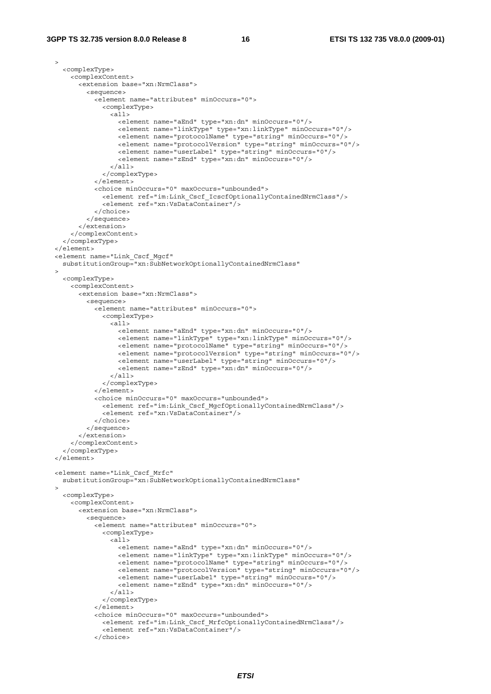```
\rightarrow <complexType> 
       <complexContent> 
         <extension base="xn:NrmClass"> 
           <sequence> 
             <element name="attributes" minOccurs="0"> 
               <complexType> 
                 <all> 
                   <element name="aEnd" type="xn:dn" minOccurs="0"/> 
                   <element name="linkType" type="xn:linkType" minOccurs="0"/> 
                   <element name="protocolName" type="string" minOccurs="0"/> 
 <element name="protocolVersion" type="string" minOccurs="0"/> 
 <element name="userLabel" type="string" minOccurs="0"/> 
                   <element name="zEnd" type="xn:dn" minOccurs="0"/> 
                 </all> 
               </complexType> 
             </element> 
             <choice minOccurs="0" maxOccurs="unbounded"> 
               <element ref="im:Link_Cscf_IcscfOptionallyContainedNrmClass"/> 
               <element ref="xn:VsDataContainer"/> 
             </choice> 
           </sequence> 
         </extension> 
       </complexContent> 
     </complexType> 
  </element> 
  <element name="Link_Cscf_Mgcf" 
    substitutionGroup="xn:SubNetworkOptionallyContainedNrmClass" 
\rightarrow <complexType> 
       <complexContent> 
         <extension base="xn:NrmClass"> 
           <sequence> 
             <element name="attributes" minOccurs="0"> 
               <complexType> 
                 <all> 
                   <element name="aEnd" type="xn:dn" minOccurs="0"/> 
                   <element name="linkType" type="xn:linkType" minOccurs="0"/> 
                   <element name="protocolName" type="string" minOccurs="0"/> 
                   <element name="protocolVersion" type="string" minOccurs="0"/> 
                   <element name="userLabel" type="string" minOccurs="0"/> 
                   <element name="zEnd" type="xn:dn" minOccurs="0"/> 
                \epsilon/all\epsilon </complexType> 
             </element> 
             <choice minOccurs="0" maxOccurs="unbounded"> 
               <element ref="im:Link_Cscf_MgcfOptionallyContainedNrmClass"/> 
               <element ref="xn:VsDataContainer"/> 
             </choice> 
           </sequence> 
         </extension> 
       </complexContent> 
     </complexType> 
  </element> 
  <element name="Link_Cscf_Mrfc" 
    substitutionGroup="xn:SubNetworkOptionallyContainedNrmClass" 
\rightarrow <complexType> 
       <complexContent> 
         <extension base="xn:NrmClass"> 
           <sequence> 
             <element name="attributes" minOccurs="0"> 
               <complexType> 
                \leq alls
                   <element name="aEnd" type="xn:dn" minOccurs="0"/> 
                   <element name="linkType" type="xn:linkType" minOccurs="0"/> 
                   <element name="protocolName" type="string" minOccurs="0"/> 
 <element name="protocolVersion" type="string" minOccurs="0"/> 
 <element name="userLabel" type="string" minOccurs="0"/> 
                   <element name="zEnd" type="xn:dn" minOccurs="0"/> 
                 </all> 
               </complexType> 
             </element> 
             <choice minOccurs="0" maxOccurs="unbounded"> 
               <element ref="im:Link_Cscf_MrfcOptionallyContainedNrmClass"/> 
               <element ref="xn:VsDataContainer"/> 
             </choice>
```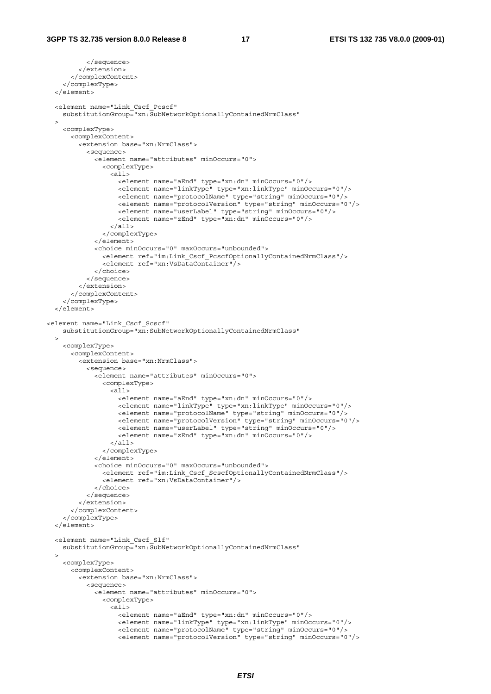```
 </sequence> 
         </extension> 
       </complexContent> 
     </complexType> 
   </element> 
   <element name="Link_Cscf_Pcscf" 
     substitutionGroup="xn:SubNetworkOptionallyContainedNrmClass" 
\rightarrow <complexType> 
       <complexContent> 
         <extension base="xn:NrmClass"> 
           <sequence> 
             <element name="attributes" minOccurs="0"> 
                <complexType> 
                  <all> 
                    <element name="aEnd" type="xn:dn" minOccurs="0"/> 
                    <element name="linkType" type="xn:linkType" minOccurs="0"/> 
                    <element name="protocolName" type="string" minOccurs="0"/> 
 <element name="protocolVersion" type="string" minOccurs="0"/> 
 <element name="userLabel" type="string" minOccurs="0"/> 
                    <element name="zEnd" type="xn:dn" minOccurs="0"/> 
                 \langleall> </complexType> 
             \epsilon/element>
              <choice minOccurs="0" maxOccurs="unbounded"> 
                <element ref="im:Link_Cscf_PcscfOptionallyContainedNrmClass"/> 
                <element ref="xn:VsDataContainer"/> 
              </choice> 
           </sequence> 
         </extension> 
       </complexContent> 
     </complexType> 
   </element> 
<element name="Link_Cscf_Scscf" 
    substitutionGroup="xn:SubNetworkOptionallyContainedNrmClass" 
  \sim <complexType> 
       <complexContent> 
         <extension base="xn:NrmClass"> 
           <sequence> 
             <element name="attributes" minOccurs="0"> 
                <complexType> 
                 \leqall\geq <element name="aEnd" type="xn:dn" minOccurs="0"/> 
                    <element name="linkType" type="xn:linkType" minOccurs="0"/> 
                    <element name="protocolName" type="string" minOccurs="0"/> 
                    <element name="protocolVersion" type="string" minOccurs="0"/> 
                    <element name="userLabel" type="string" minOccurs="0"/> 
                    <element name="zEnd" type="xn:dn" minOccurs="0"/> 
                 \langleall\rangle </complexType> 
              </element> 
             <choice minOccurs="0" maxOccurs="unbounded"> 
               <element ref="im:Link Cscf ScscfOptionallyContainedNrmClass"/>
                <element ref="xn:VsDataContainer"/> 
              </choice> 
           </sequence> 
         </extension> 
       </complexContent> 
     </complexType> 
   </element> 
   <element name="Link_Cscf_Slf" 
     substitutionGroup="xn:SubNetworkOptionallyContainedNrmClass" 
\rightarrow <complexType> 
       <complexContent> 
         <extension base="xn:NrmClass"> 
           <sequence> 
             <element name="attributes" minOccurs="0"> 
                <complexType> 
                  <all> 
                    <element name="aEnd" type="xn:dn" minOccurs="0"/> 
                    <element name="linkType" type="xn:linkType" minOccurs="0"/> 
                    <element name="protocolName" type="string" minOccurs="0"/> 
                    <element name="protocolVersion" type="string" minOccurs="0"/>
```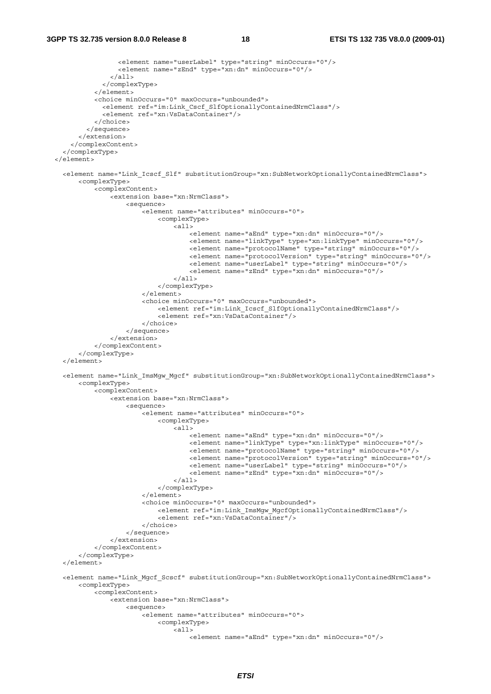```
 <element name="userLabel" type="string" minOccurs="0"/> 
                   <element name="zEnd" type="xn:dn" minOccurs="0"/> 
                \langleall\rangle </complexType> 
             </element> 
             <choice minOccurs="0" maxOccurs="unbounded"> 
               <element ref="im:Link_Cscf_SlfOptionallyContainedNrmClass"/> 
               <element ref="xn:VsDataContainer"/> 
             </choice> 
           </sequence> 
         </extension> 
       </complexContent> 
     </complexType> 
   </element> 
    <element name="Link_Icscf_Slf" substitutionGroup="xn:SubNetworkOptionallyContainedNrmClass"> 
         <complexType> 
             <complexContent> 
                 <extension base="xn:NrmClass"> 
                     <sequence> 
                         <element name="attributes" minOccurs="0"> 
                              <complexType> 
                                  <all> 
                                      <element name="aEnd" type="xn:dn" minOccurs="0"/> 
                                      <element name="linkType" type="xn:linkType" minOccurs="0"/> 
                                      <element name="protocolName" type="string" minOccurs="0"/> 
                                      <element name="protocolVersion" type="string" minOccurs="0"/> 
                                      <element name="userLabel" type="string" minOccurs="0"/> 
                                      <element name="zEnd" type="xn:dn" minOccurs="0"/> 
                                 2/211 </complexType> 
                          </element> 
                          <choice minOccurs="0" maxOccurs="unbounded"> 
                              <element ref="im:Link_Icscf_SlfOptionallyContainedNrmClass"/> 
                              <element ref="xn:VsDataContainer"/> 
                          </choice> 
                     </sequence> 
                 </extension> 
             </complexContent> 
         </complexType> 
    </element> 
    <element name="Link_ImsMgw_Mgcf" substitutionGroup="xn:SubNetworkOptionallyContainedNrmClass"> 
         <complexType> 
             <complexContent> 
                 <extension base="xn:NrmClass"> 
                     <sequence> 
                          <element name="attributes" minOccurs="0"> 
                              <complexType> 
                                 ^-call> <element name="aEnd" type="xn:dn" minOccurs="0"/> 
                                      <element name="linkType" type="xn:linkType" minOccurs="0"/> 
                                      <element name="protocolName" type="string" minOccurs="0"/> 
 <element name="protocolVersion" type="string" minOccurs="0"/> 
 <element name="userLabel" type="string" minOccurs="0"/> 
                                      <element name="zEnd" type="xn:dn" minOccurs="0"/> 
                                 \langleall> </complexType> 
                          </element> 
                          <choice minOccurs="0" maxOccurs="unbounded"> 
                              <element ref="im:Link_ImsMgw_MgcfOptionallyContainedNrmClass"/> 
                              <element ref="xn:VsDataContainer"/> 
                         </choice> 
                     </sequence> 
                 </extension> 
             </complexContent> 
         </complexType> 
    </element> 
     <element name="Link_Mgcf_Scscf" substitutionGroup="xn:SubNetworkOptionallyContainedNrmClass"> 
         <complexType> 
             <complexContent> 
                -<br><extension base="xn:NrmClass">
                     <sequence> 
                          <element name="attributes" minOccurs="0"> 
                              <complexType> 
                                 ^- <all>
                                      <element name="aEnd" type="xn:dn" minOccurs="0"/>
```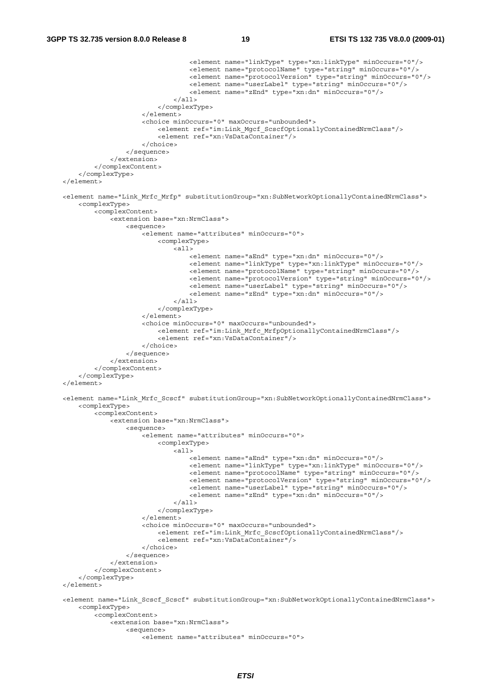```
 <element name="linkType" type="xn:linkType" minOccurs="0"/> 
                                      <element name="protocolName" type="string" minOccurs="0"/> 
                                      <element name="protocolVersion" type="string" minOccurs="0"/> 
                                      <element name="userLabel" type="string" minOccurs="0"/> 
                                      <element name="zEnd" type="xn:dn" minOccurs="0"/> 
                                  </all> 
                              </complexType> 
                         </element> 
                         <choice minOccurs="0" maxOccurs="unbounded"> 
                              <element ref="im:Link_Mgcf_ScscfOptionallyContainedNrmClass"/> 
                              <element ref="xn:VsDataContainer"/> 
                         </choice> 
                     </sequence> 
                 </extension> 
             </complexContent> 
         </complexType> 
    </element> 
    <element name="Link_Mrfc_Mrfp" substitutionGroup="xn:SubNetworkOptionallyContainedNrmClass"> 
         <complexType> 
             <complexContent> 
                 <extension base="xn:NrmClass"> 
                     <sequence> 
                         <element name="attributes" minOccurs="0"> 
                              <complexType> 
                                  <all> 
                                      <element name="aEnd" type="xn:dn" minOccurs="0"/> 
                                      <element name="linkType" type="xn:linkType" minOccurs="0"/> 
                                      <element name="protocolName" type="string" minOccurs="0"/> 
 <element name="protocolVersion" type="string" minOccurs="0"/> 
 <element name="userLabel" type="string" minOccurs="0"/> 
                                      <element name="zEnd" type="xn:dn" minOccurs="0"/> 
                                 \langleall\rangle </complexType> 
                          </element> 
                          <choice minOccurs="0" maxOccurs="unbounded"> 
                              <element ref="im:Link_Mrfc_MrfpOptionallyContainedNrmClass"/> 
                              <element ref="xn:VsDataContainer"/> 
                         </choice> 
                     </sequence> 
                 </extension> 
             </complexContent> 
         </complexType> 
    </element> 
    <element name="Link_Mrfc_Scscf" substitutionGroup="xn:SubNetworkOptionallyContainedNrmClass"> 
         <complexType> 
             <complexContent> 
                 <extension base="xn:NrmClass"> 
                     <sequence> 
                         <element name="attributes" minOccurs="0"> 
                              <complexType> 
                                  <all> 
                                      <element name="aEnd" type="xn:dn" minOccurs="0"/> 
                                      <element name="linkType" type="xn:linkType" minOccurs="0"/> 
                                      <element name="protocolName" type="string" minOccurs="0"/> 
                                      <element name="protocolVersion" type="string" minOccurs="0"/> 
                                      <element name="userLabel" type="string" minOccurs="0"/> 
                                      <element name="zEnd" type="xn:dn" minOccurs="0"/> 
                                 \frac{1}{2} </complexType> 
                          </element> 
                          <choice minOccurs="0" maxOccurs="unbounded"> 
                              <element ref="im:Link_Mrfc_ScscfOptionallyContainedNrmClass"/> 
                              <element ref="xn:VsDataContainer"/> 
                         </choice> 
                     </sequence> 
                 </extension> 
             </complexContent> 
         </complexType> 
    </element> 
    <element name="Link_Scscf_Scscf" substitutionGroup="xn:SubNetworkOptionallyContainedNrmClass"> 
         <complexType> 
             <complexContent> 
                 <extension base="xn:NrmClass"> 
                     <sequence> 
                         <element name="attributes" minOccurs="0">
```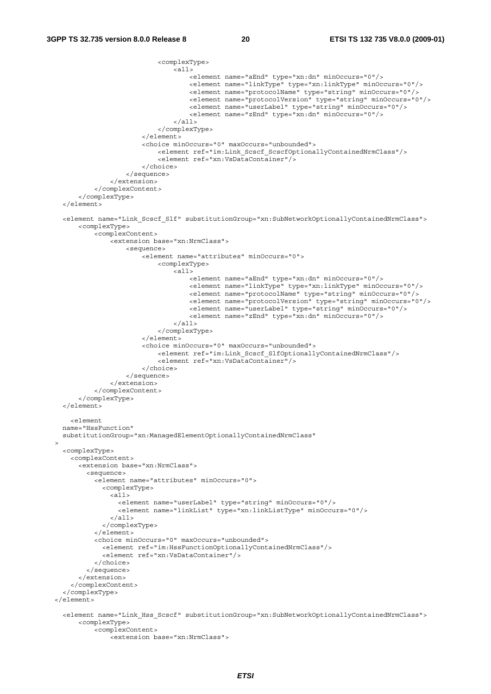```
 <complexType> 
                                  <all> 
                                      <element name="aEnd" type="xn:dn" minOccurs="0"/> 
                                      <element name="linkType" type="xn:linkType" minOccurs="0"/> 
                                      <element name="protocolName" type="string" minOccurs="0"/> 
                                      <element name="protocolVersion" type="string" minOccurs="0"/> 
                                      <element name="userLabel" type="string" minOccurs="0"/> 
                                      <element name="zEnd" type="xn:dn" minOccurs="0"/> 
                                 \epsilon/all\sim </complexType> 
                          </element> 
                          <choice minOccurs="0" maxOccurs="unbounded"> 
                             <element ref="im:Link Scscf ScscfOptionallyContainedNrmClass"/>
                              <element ref="xn:VsDataContainer"/> 
                          </choice> 
                     </sequence> 
                 </extension> 
             </complexContent> 
         </complexType> 
    </element> 
    <element name="Link_Scscf_Slf" substitutionGroup="xn:SubNetworkOptionallyContainedNrmClass"> 
         <complexType> 
             <complexContent> 
                 <extension base="xn:NrmClass"> 
                     <sequence> 
                          <element name="attributes" minOccurs="0"> 
                              <complexType> 
                                  <all> 
                                      <element name="aEnd" type="xn:dn" minOccurs="0"/> 
                                      <element name="linkType" type="xn:linkType" minOccurs="0"/> 
                                      <element name="protocolName" type="string" minOccurs="0"/> 
 <element name="protocolVersion" type="string" minOccurs="0"/> 
 <element name="userLabel" type="string" minOccurs="0"/> 
                                      <element name="zEnd" type="xn:dn" minOccurs="0"/> 
                                  </all> 
                              </complexType> 
                          </element> 
                          <choice minOccurs="0" maxOccurs="unbounded"> 
                              <element ref="im:Link_Scscf_SlfOptionallyContainedNrmClass"/> 
                              <element ref="xn:VsDataContainer"/> 
                         </choice> 
                     </sequence> 
                 </extension> 
             </complexContent> 
         </complexType> 
    </element> 
       <element 
    name="HssFunction" 
    substitutionGroup="xn:ManagedElementOptionallyContainedNrmClass" 
  > 
    <complexType> 
       <complexContent> 
         <extension base="xn:NrmClass"> 
           <sequence> 
             <element name="attributes" minOccurs="0"> 
               <complexType> 
                 <all> 
                   <element name="userLabel" type="string" minOccurs="0"/> 
                   <element name="linkList" type="xn:linkListType" minOccurs="0"/> 
                \langleall> </complexType> 
             </element> 
             <choice minOccurs="0" maxOccurs="unbounded"> 
               <element ref="im:HssFunctionOptionallyContainedNrmClass"/> 
               <element ref="xn:VsDataContainer"/> 
             </choice> 
           </sequence> 
         </extension> 
       </complexContent> 
     </complexType> 
  </element> 
     <element name="Link_Hss_Scscf" substitutionGroup="xn:SubNetworkOptionallyContainedNrmClass"> 
         <complexType> 
             <complexContent> 
                -<br><extension base="xn:NrmClass">
```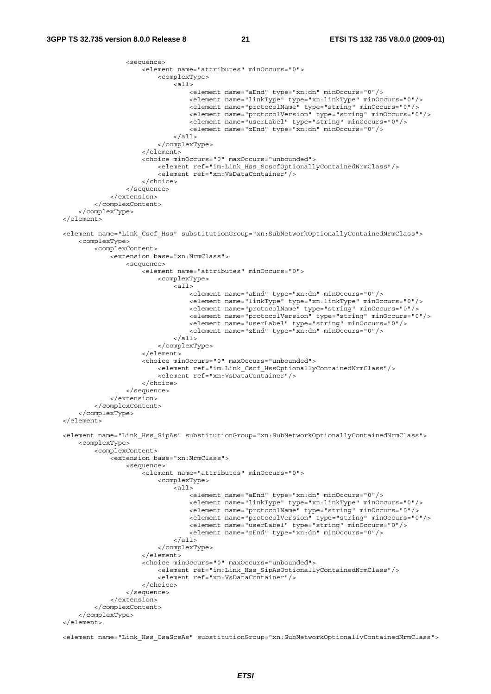```
 <sequence> 
                       <element name="attributes" minOccurs="0"> 
                           <complexType> 
                               <all> 
                                    <element name="aEnd" type="xn:dn" minOccurs="0"/> 
                                    <element name="linkType" type="xn:linkType" minOccurs="0"/> 
                                    <element name="protocolName" type="string" minOccurs="0"/> 
                                    <element name="protocolVersion" type="string" minOccurs="0"/> 
                                    <element name="userLabel" type="string" minOccurs="0"/> 
                                    <element name="zEnd" type="xn:dn" minOccurs="0"/> 
                              \langleall> </complexType> 
                      </element> 
                       <choice minOccurs="0" maxOccurs="unbounded"> 
                           <element ref="im:Link_Hss_ScscfOptionallyContainedNrmClass"/> 
                           <element ref="xn:VsDataContainer"/> 
                      </choice> 
                  </sequence> 
              </extension> 
         </complexContent> 
     </complexType> 
 </element> 
 <element name="Link_Cscf_Hss" substitutionGroup="xn:SubNetworkOptionallyContainedNrmClass"> 
     <complexType> 
         <complexContent> 
              <extension base="xn:NrmClass"> 
                  <sequence> 
                      <element name="attributes" minOccurs="0"> 
                           <complexType> 
                              \epsilonall\epsilon <element name="aEnd" type="xn:dn" minOccurs="0"/> 
                                    <element name="linkType" type="xn:linkType" minOccurs="0"/> 
                                    <element name="protocolName" type="string" minOccurs="0"/> 
                                    <element name="protocolVersion" type="string" minOccurs="0"/> 
                                    <element name="userLabel" type="string" minOccurs="0"/> 
                                    <element name="zEnd" type="xn:dn" minOccurs="0"/> 
                               </all> 
                           </complexType> 
                       </element> 
                       <choice minOccurs="0" maxOccurs="unbounded"> 
                           <element ref="im:Link_Cscf_HssOptionallyContainedNrmClass"/> 
                           <element ref="xn:VsDataContainer"/> 
                      </choice> 
                  </sequence> 
              </extension> 
         </complexContent> 
     </complexType> 
 </element> 
 <element name="Link_Hss_SipAs" substitutionGroup="xn:SubNetworkOptionallyContainedNrmClass"> 
     <complexType> 
         <complexContent> 
             -<br><extension base="xn:NrmClass">
                  <sequence> 
                       <element name="attributes" minOccurs="0"> 
                           <complexType> 
                               <all> 
                                    <element name="aEnd" type="xn:dn" minOccurs="0"/> 
                                    <element name="linkType" type="xn:linkType" minOccurs="0"/> 
                                    <element name="protocolName" type="string" minOccurs="0"/> 
                                    <element name="protocolVersion" type="string" minOccurs="0"/> 
                                    <element name="userLabel" type="string" minOccurs="0"/> 
                                    <element name="zEnd" type="xn:dn" minOccurs="0"/> 
                              \frac{1}{2} </complexType> 
                       </element> 
                       <choice minOccurs="0" maxOccurs="unbounded"> 
                           <element ref="im:Link_Hss_SipAsOptionallyContainedNrmClass"/> 
                           <element ref="xn:VsDataContainer"/> 
                       </choice> 
                  </sequence> 
              </extension> 
         </complexContent> 
     </complexType> 
 </element>
```
<element name="Link\_Hss\_OsaScsAs" substitutionGroup="xn:SubNetworkOptionallyContainedNrmClass">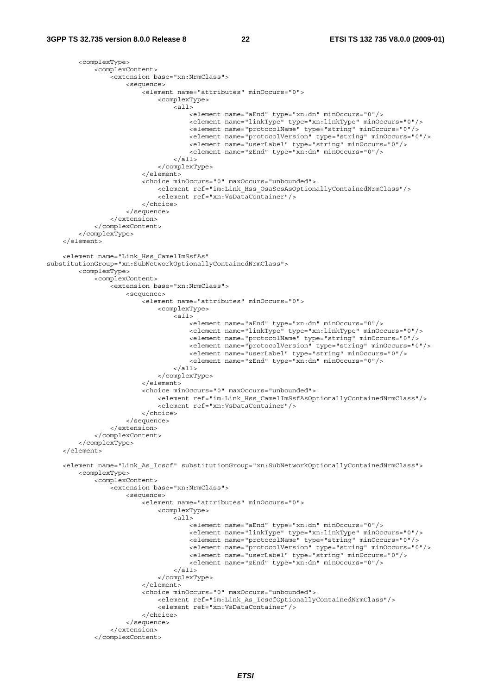```
 <complexType> 
             <complexContent> 
                 <extension base="xn:NrmClass"> 
                      <sequence> 
                          <element name="attributes" minOccurs="0"> 
                              <complexType> 
                                  <all> 
                                       <element name="aEnd" type="xn:dn" minOccurs="0"/> 
                                       <element name="linkType" type="xn:linkType" minOccurs="0"/> 
                                       <element name="protocolName" type="string" minOccurs="0"/> 
                                      <element name="protocolVersion" type="string" minOccurs="0"/> 
                                      <element name="userLabel" type="string" minOccurs="0"/> 
                                      <element name="zEnd" type="xn:dn" minOccurs="0"/> 
                                  </all> 
                              </complexType> 
                          </element> 
                          <choice minOccurs="0" maxOccurs="unbounded"> 
                              <element ref="im:Link_Hss_OsaScsAsOptionallyContainedNrmClass"/> 
                              <element ref="xn:VsDataContainer"/> 
                          </choice> 
                      </sequence> 
                 </extension> 
             </complexContent> 
         </complexType> 
    \epsilon/element>
     <element name="Link_Hss_CamelImSsfAs" 
substitutionGroup="xn:SubNetworkOptionallyContainedNrmClass"> 
         <complexType> 
             <complexContent> 
                 <extension base="xn:NrmClass"> 
                      <sequence> 
                          <element name="attributes" minOccurs="0"> 
                              <complexType> 
                                  <all> 
                                      <element name="aEnd" type="xn:dn" minOccurs="0"/> 
                                       <element name="linkType" type="xn:linkType" minOccurs="0"/> 
 <element name="protocolName" type="string" minOccurs="0"/> 
 <element name="protocolVersion" type="string" minOccurs="0"/> 
                                      <element name="userLabel" type="string" minOccurs="0"/> 
                                       <element name="zEnd" type="xn:dn" minOccurs="0"/> 
                                  </all> 
                              </complexType> 
                          </element> 
                          <choice minOccurs="0" maxOccurs="unbounded"> 
                              <element ref="im:Link_Hss_CamelImSsfAsOptionallyContainedNrmClass"/> 
                              <element ref="xn:VsDataContainer"/> 
                          </choice> 
                      </sequence> 
                 </extension> 
             </complexContent> 
         </complexType> 
     </element> 
     <element name="Link_As_Icscf" substitutionGroup="xn:SubNetworkOptionallyContainedNrmClass"> 
         <complexType> 
             <complexContent> 
                 <extension base="xn:NrmClass"> 
                      <sequence> 
                          <element name="attributes" minOccurs="0"> 
                              <complexType> 
                                 ^- <all> <element name="aEnd" type="xn:dn" minOccurs="0"/> 
                                      <element name="linkType" type="xn:linkType" minOccurs="0"/> 
                                      <element name="protocolName" type="string" minOccurs="0"/> 
                                      <element name="protocolVersion" type="string" minOccurs="0"/> 
                                       <element name="userLabel" type="string" minOccurs="0"/> 
                                      <element name="zEnd" type="xn:dn" minOccurs="0"/> 
                                  </all> 
                              </complexType> 
                          </element> 
                          <choice minOccurs="0" maxOccurs="unbounded"> 
                              <element ref="im:Link_As_IcscfOptionallyContainedNrmClass"/> 
                              <element ref="xn:VsDataContainer"/> 
                          </choice> 
                      </sequence> 
                 </extension> 
             </complexContent>
```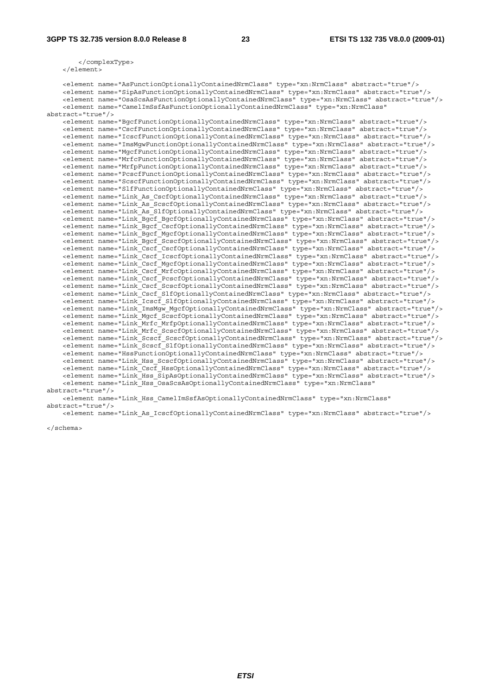</complexType> </element>

 <element name="AsFunctionOptionallyContainedNrmClass" type="xn:NrmClass" abstract="true"/> <element name="SipAsFunctionOptionallyContainedNrmClass" type="xn:NrmClass" abstract="true"/> <element name="OsaScsAsFunctionOptionallyContainedNrmClass" type="xn:NrmClass" abstract="true"/> <element name="CamelImSsfAsFunctionOptionallyContainedNrmClass" type="xn:NrmClass" abstract="true"/> <element name="BgcfFunctionOptionallyContainedNrmClass" type="xn:NrmClass" abstract="true"/> <element name="CscfFunctionOptionallyContainedNrmClass" type="xn:NrmClass" abstract="true"/> <element name="IcscfFunctionOptionallyContainedNrmClass" type="xn:NrmClass" abstract="true"/> <element name="ImsMgwFunctionOptionallyContainedNrmClass" type="xn:NrmClass" abstract="true"/> <element name="MgcfFunctionOptionallyContainedNrmClass" type="xn:NrmClass" abstract="true"/> <element name="MrfcFunctionOptionallyContainedNrmClass" type="xn:NrmClass" abstract="true"/> <element name="MrfpFunctionOptionallyContainedNrmClass" type="xn:NrmClass" abstract="true"/> <element name="PcscfFunctionOptionallyContainedNrmClass" type="xn:NrmClass" abstract="true"/> <element name="ScscfFunctionOptionallyContainedNrmClass" type="xn:NrmClass" abstract="true"/> <element name="SlfFunctionOptionallyContainedNrmClass" type="xn:NrmClass" abstract="true"/> <element name="Link\_As\_CscfOptionallyContainedNrmClass" type="xn:NrmClass" abstract="true"/> <element name="Link\_As\_ScscfOptionallyContainedNrmClass" type="xn:NrmClass" abstract="true"/> <element name="Link\_As\_SlfOptionallyContainedNrmClass" type="xn:NrmClass" abstract="true"/> <element name="Link\_Bgcf\_BgcfOptionallyContainedNrmClass" type="xn:NrmClass" abstract="true"/> <element name="Link\_Bgcf\_CscfOptionallyContainedNrmClass" type="xn:NrmClass" abstract="true"/> <element name="Link\_Bgcf\_MgcfOptionallyContainedNrmClass" type="xn:NrmClass" abstract="true"/> <element name="Link\_Bgcf\_ScscfOptionallyContainedNrmClass" type="xn:NrmClass" abstract="true"/> <element name="Link\_Cscf\_CscfOptionallyContainedNrmClass" type="xn:NrmClass" abstract="true"/> <element name="Link\_Cscf\_IcscfOptionallyContainedNrmClass" type="xn:NrmClass" abstract="true"/> <element name="Link\_Cscf\_MgcfOptionallyContainedNrmClass" type="xn:NrmClass" abstract="true"/> <element name="Link\_Cscf\_MrfcOptionallyContainedNrmClass" type="xn:NrmClass" abstract="true"/> <element name="Link\_Cscf\_PcscfOptionallyContainedNrmClass" type="xn:NrmClass" abstract="true"/> <element name="Link\_Cscf\_ScscfOptionallyContainedNrmClass" type="xn:NrmClass" abstract="true"/> <element name="Link\_Cscf\_SlfOptionallyContainedNrmClass" type="xn:NrmClass" abstract="true"/> <element name="Link\_Icscf\_SlfOptionallyContainedNrmClass" type="xn:NrmClass" abstract="true"/> <element name="Link\_ImsMgw\_MgcfOptionallyContainedNrmClass" type="xn:NrmClass" abstract="true"/> <element name="Link\_Mgcf\_ScscfOptionallyContainedNrmClass" type="xn:NrmClass" abstract="true"/> <element name="Link\_Mrfc\_MrfpOptionallyContainedNrmClass" type="xn:NrmClass" abstract="true"/> <element name="Link\_Mrfc\_ScscfOptionallyContainedNrmClass" type="xn:NrmClass" abstract="true"/> <element name="Link\_Scscf\_ScscfOptionallyContainedNrmClass" type="xn:NrmClass" abstract="true"/> <element name="Link\_Scscf\_SlfOptionallyContainedNrmClass" type="xn:NrmClass" abstract="true"/> <element name="HssFunctionOptionallyContainedNrmClass" type="xn:NrmClass" abstract="true"/> <element name="Link\_Hss\_ScscfOptionallyContainedNrmClass" type="xn:NrmClass" abstract="true"/> <element name="Link\_Cscf\_HssOptionallyContainedNrmClass" type="xn:NrmClass" abstract="true"/> <element name="Link\_Hss\_SipAsOptionallyContainedNrmClass" type="xn:NrmClass" abstract="true"/> <element name="Link\_Hss\_OsaScsAsOptionallyContainedNrmClass" type="xn:NrmClass" abstract="true"/>

 <element name="Link\_Hss\_CamelImSsfAsOptionallyContainedNrmClass" type="xn:NrmClass" abstract="true"/>

<element name="Link\_As\_IcscfOptionallyContainedNrmClass" type="xn:NrmClass" abstract="true"/>

</schema>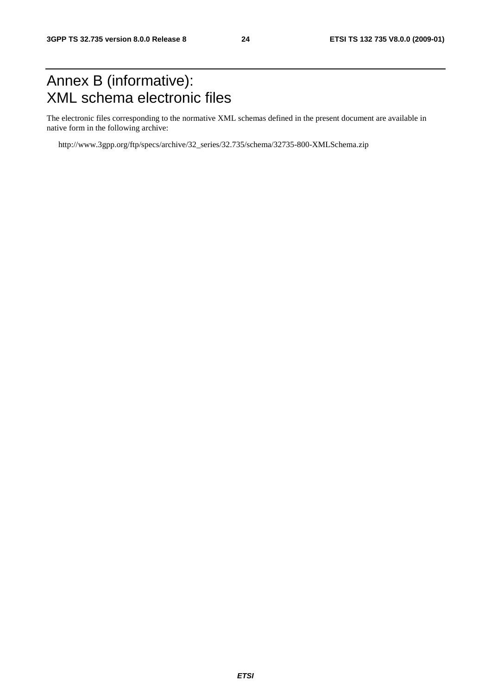# Annex B (informative): XML schema electronic files

The electronic files corresponding to the normative XML schemas defined in the present document are available in native form in the following archive:

http://www.3gpp.org/ftp/specs/archive/32\_series/32.735/schema/32735-800-XMLSchema.zip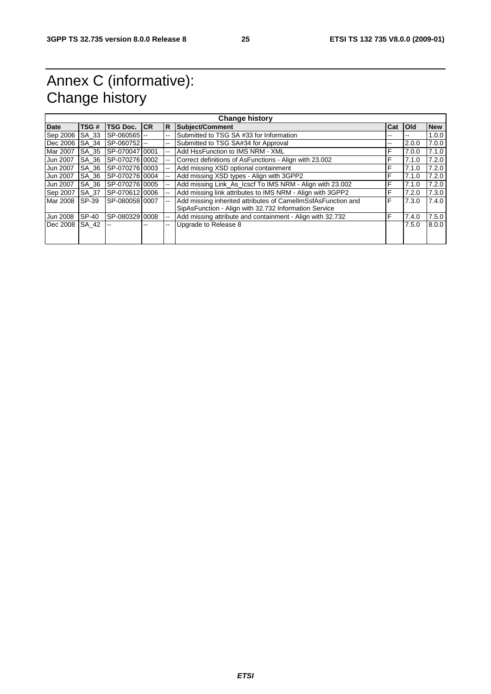# Annex C (informative): Change history

| <b>Change history</b> |       |                |           |                          |                                                                                                                       |     |            |            |
|-----------------------|-------|----------------|-----------|--------------------------|-----------------------------------------------------------------------------------------------------------------------|-----|------------|------------|
| <b>Date</b>           | TSG # | TSG Doc.       | <b>CR</b> | R                        | <b>Subject/Comment</b>                                                                                                | Cat | <b>Old</b> | <b>New</b> |
| Sep 2006              | SA 33 | SP-060565      |           | $-$                      | Submitted to TSG SA #33 for Information                                                                               | --  | --         | 1.0.0      |
| Dec 2006              | SA 34 | SP-060752 --   |           | $-$                      | Submitted to TSG SA#34 for Approval                                                                                   | --  | 2.0.0      | 7.0.0      |
| Mar 2007              | SA 35 | SP-07004710001 |           | --                       | Add HssFunction to IMS NRM - XML                                                                                      | F   | 7.0.0      | 7.1.0      |
| Jun 2007              | SA 36 | SP-07027610002 |           | $\overline{\phantom{a}}$ | Correct definitions of AsFunctions - Align with 23.002                                                                | F   | 7.1.0      | 7.2.0      |
| Jun 2007              | SA 36 | SP-070276 0003 |           |                          | Add missing XSD optional containment                                                                                  | F   | 7.1.0      | 7.2.0      |
| Jun 2007              | SA 36 | SP-07027610004 |           |                          | Add missing XSD types - Align with 3GPP2                                                                              | F   | 7.1.0      | 7.2.0      |
| Jun 2007              | SA 36 | SP-070276 0005 |           |                          | Add missing Link As Icscf To IMS NRM - Align with 23.002                                                              | F   | 7.1.0      | 7.2.0      |
| Sep 2007              | SA 37 | SP-07061210006 |           |                          | Add missing link attributes to IMS NRM - Align with 3GPP2                                                             | F   | 7.2.0      | 7.3.0      |
| Mar 2008              | SP-39 | SP-08005810007 |           |                          | Add missing inherited attributes of CamellmSsfAsFunction and<br>SipAsFunction - Align with 32.732 Information Service | F   | 7.3.0      | 7.4.0      |
| <b>Jun 2008</b>       | SP-40 | SP-080329 0008 |           | $-$                      | Add missing attribute and containment - Align with 32.732                                                             | F   | 7.4.0      | 7.5.0      |
| Dec 2008              | SA 42 |                |           | --                       | Upgrade to Release 8                                                                                                  |     | 7.5.0      | 8.0.0      |